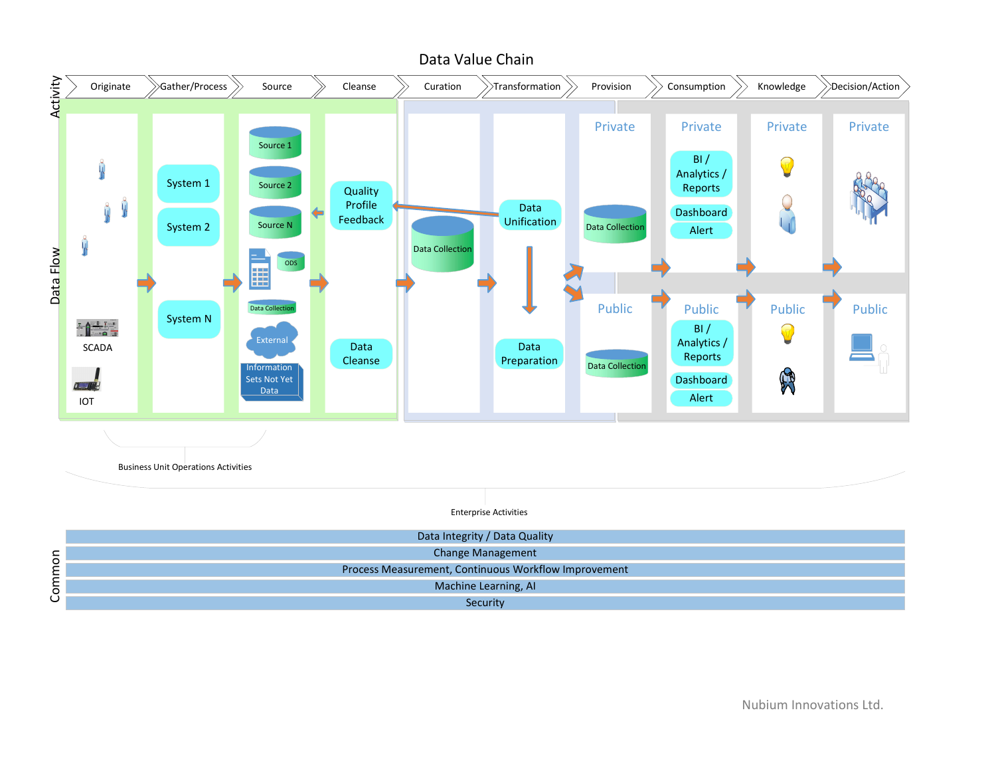

Nubium Innovations Ltd.